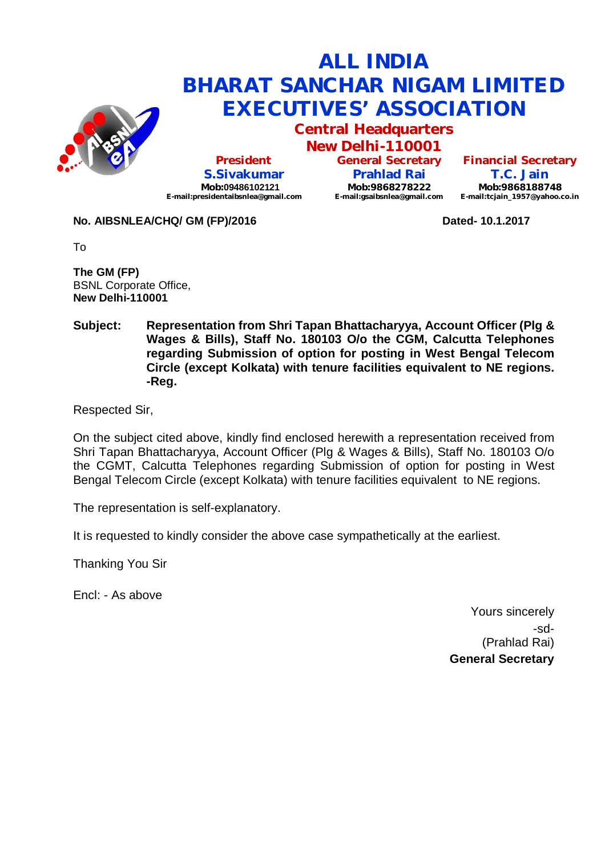

**Central Headquarters**

**New Delhi-110001 President S.Sivakumar Mob:09486102121 [E-mail:presidentaibsnlea@gmail.com](mailto:E-mail:presidentaibsnlea@gmail.com)**

**General Secretary Prahlad Rai Mob:9868278222 [E-mail:gsaibsnlea@gmail.com](mailto:E-mail:gsaibsnlea@gmail.com)**

**Financial Secretary T.C. Jain Mob:9868188748 [E-mail:tcjain\\_1957@yahoo.co.in](mailto:E-mail:tcjain_1957@yahoo.co.in)**

**No. AIBSNLEA/CHQ/ GM (FP)/2016 Dated- 10.1.2017**

To

**The GM (FP)** BSNL Corporate Office, **New Delhi-110001** 

**Subject: Representation from Shri Tapan Bhattacharyya, Account Officer (Plg & Wages & Bills), Staff No. 180103 O/o the CGM, Calcutta Telephones regarding Submission of option for posting in West Bengal Telecom Circle (except Kolkata) with tenure facilities equivalent to NE regions. -Reg.**

Respected Sir,

On the subject cited above, kindly find enclosed herewith a representation received from Shri Tapan Bhattacharyya, Account Officer (Plg & Wages & Bills), Staff No. 180103 O/o the CGMT, Calcutta Telephones regarding Submission of option for posting in West Bengal Telecom Circle (except Kolkata) with tenure facilities equivalent to NE regions.

The representation is self-explanatory.

It is requested to kindly consider the above case sympathetically at the earliest.

Thanking You Sir

Encl: - As above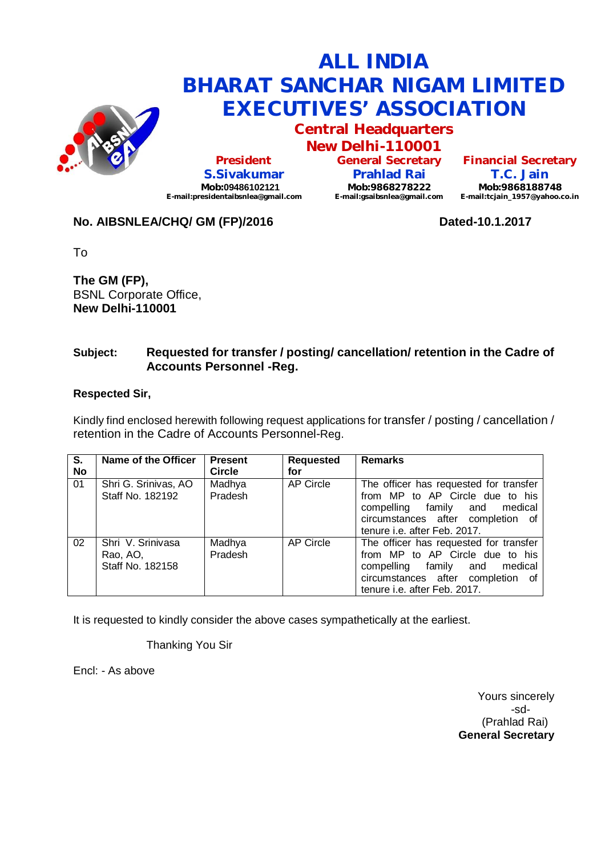

**Central Headquarters**

**New Delhi-110001 President S.Sivakumar Mob:09486102121 [E-mail:presidentaibsnlea@gmail.com](mailto:E-mail:presidentaibsnlea@gmail.com)**

**General Secretary Prahlad Rai Mob:9868278222 [E-mail:gsaibsnlea@gmail.com](mailto:E-mail:gsaibsnlea@gmail.com)**

**Financial Secretary T.C. Jain Mob:9868188748 [E-mail:tcjain\\_1957@yahoo.co.in](mailto:E-mail:tcjain_1957@yahoo.co.in)**

## **No. AIBSNLEA/CHQ/ GM (FP)/2016 Dated-10.1.2017**

To

**The GM (FP),** BSNL Corporate Office, **New Delhi-110001** 

### **Subject: Requested for transfer / posting/ cancellation/ retention in the Cadre of Accounts Personnel -Reg.**

#### **Respected Sir,**

Kindly find enclosed herewith following request applications for transfer / posting / cancellation / retention in the Cadre of Accounts Personnel-Reg.

| $\overline{\mathbf{s}}$ . | Name of the Officer                               | <b>Present</b>    | <b>Requested</b> | <b>Remarks</b>                                                                                                                                                                  |
|---------------------------|---------------------------------------------------|-------------------|------------------|---------------------------------------------------------------------------------------------------------------------------------------------------------------------------------|
| No                        |                                                   | <b>Circle</b>     | for              |                                                                                                                                                                                 |
| 01                        | Shri G. Srinivas, AO<br>Staff No. 182192          | Madhya<br>Pradesh | <b>AP Circle</b> | The officer has requested for transfer<br>from MP to AP Circle due to his<br>compelling family and medical<br>circumstances after completion of<br>tenure i.e. after Feb. 2017. |
| 02                        | Shri V. Srinivasa<br>Rao, AO,<br>Staff No. 182158 | Madhya<br>Pradesh | AP Circle        | The officer has requested for transfer<br>from MP to AP Circle due to his<br>compelling family and medical<br>circumstances after completion of<br>tenure i.e. after Feb. 2017. |

It is requested to kindly consider the above cases sympathetically at the earliest.

Thanking You Sir

Encl: - As above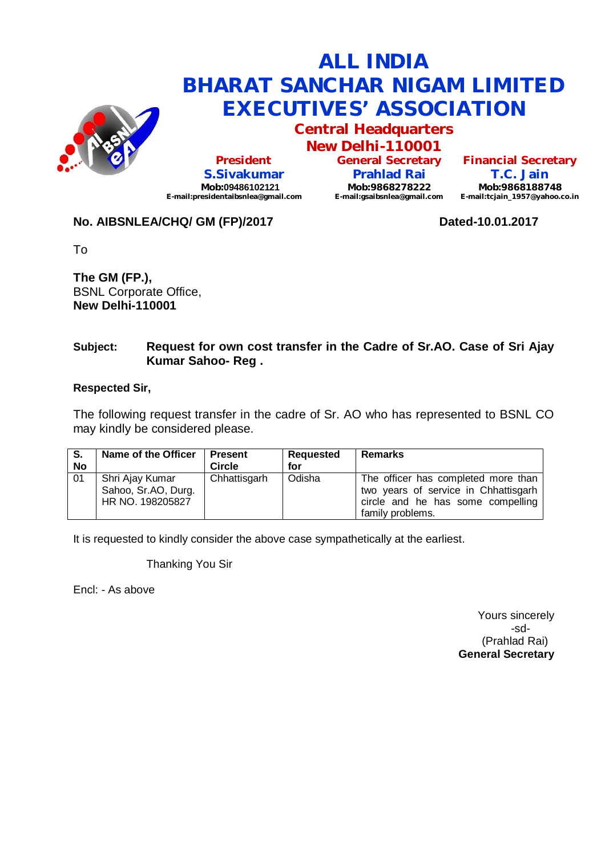

**Central Headquarters**

**New Delhi-110001 President S.Sivakumar Mob:09486102121 [E-mail:presidentaibsnlea@gmail.com](mailto:E-mail:presidentaibsnlea@gmail.com)**

**General Secretary Prahlad Rai Mob:9868278222 [E-mail:gsaibsnlea@gmail.com](mailto:E-mail:gsaibsnlea@gmail.com)**

**Financial Secretary T.C. Jain Mob:9868188748 [E-mail:tcjain\\_1957@yahoo.co.in](mailto:E-mail:tcjain_1957@yahoo.co.in)**

## No. AIBSNLEA/CHQ/ GM (FP)/2017 **Dated-10.01.2017**

To

**The GM (FP.),** BSNL Corporate Office, **New Delhi-110001** 

### **Subject: Request for own cost transfer in the Cadre of Sr.AO. Case of Sri Ajay Kumar Sahoo- Reg .**

### **Respected Sir,**

The following request transfer in the cadre of Sr. AO who has represented to BSNL CO may kindly be considered please.

| - S.<br>No | Name of the Officer                                        | <b>Present</b><br><b>Circle</b> | Requested<br>for | Remarks                                                                                                                              |
|------------|------------------------------------------------------------|---------------------------------|------------------|--------------------------------------------------------------------------------------------------------------------------------------|
| 01         | Shri Ajay Kumar<br>Sahoo, Sr.AO, Durg.<br>HR NO. 198205827 | Chhattisgarh                    | Odisha           | The officer has completed more than<br>two years of service in Chhattisgarh<br>circle and he has some compelling<br>family problems. |

It is requested to kindly consider the above case sympathetically at the earliest.

Thanking You Sir

Encl: - As above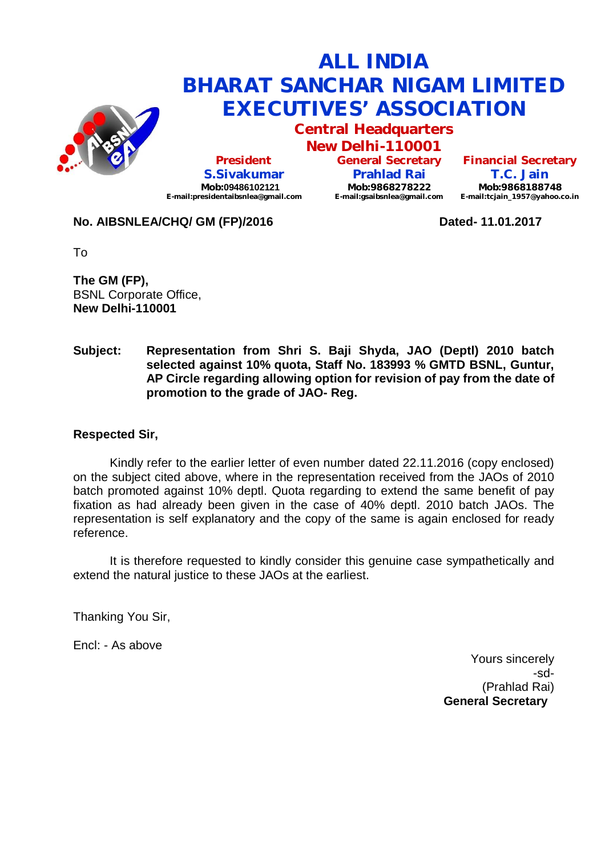

**Central Headquarters**

**New Delhi-110001 President S.Sivakumar Mob:09486102121 [E-mail:presidentaibsnlea@gmail.com](mailto:E-mail:presidentaibsnlea@gmail.com)**

**General Secretary Prahlad Rai Mob:9868278222 [E-mail:gsaibsnlea@gmail.com](mailto:E-mail:gsaibsnlea@gmail.com)**

**Financial Secretary T.C. Jain Mob:9868188748 [E-mail:tcjain\\_1957@yahoo.co.in](mailto:E-mail:tcjain_1957@yahoo.co.in)**

### **No. AIBSNLEA/CHQ/ GM (FP)/2016 Dated- 11.01.2017**

To

**The GM (FP),** BSNL Corporate Office, **New Delhi-110001** 

#### **Subject: Representation from Shri S. Baji Shyda, JAO (Deptl) 2010 batch selected against 10% quota, Staff No. 183993 % GMTD BSNL, Guntur, AP Circle regarding allowing option for revision of pay from the date of promotion to the grade of JAO- Reg.**

## **Respected Sir,**

Kindly refer to the earlier letter of even number dated 22.11.2016 (copy enclosed) on the subject cited above, where in the representation received from the JAOs of 2010 batch promoted against 10% deptl. Quota regarding to extend the same benefit of pay fixation as had already been given in the case of 40% deptl. 2010 batch JAOs. The representation is self explanatory and the copy of the same is again enclosed for ready reference.

It is therefore requested to kindly consider this genuine case sympathetically and extend the natural justice to these JAOs at the earliest.

Thanking You Sir,

Encl: - As above